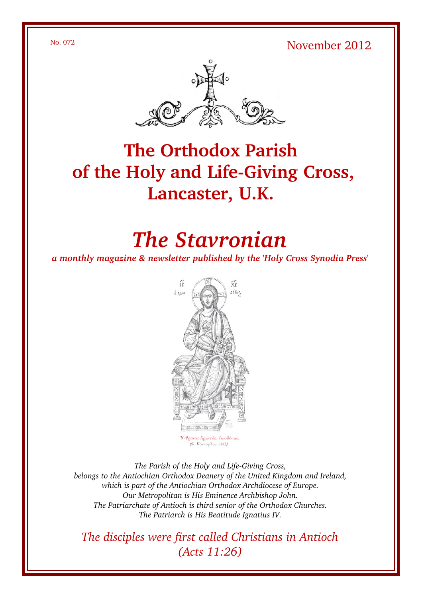No. 072 November 2012



# **The Orthodox Parish** of the Holy and Life-Giving Cross, **Lancaster, U.K.**

# *The Stavronian*

*a monthly magazine & newsletter published by the 'Holy Cross Synodia Press'*



The Parish of the Holy and Life-Giving Cross, *belongs to the Antiochian Orthodox Deanery of the United Kingdom and Ireland, which is part of the Antiochian Orthodox Archdiocese of Europe. Our Metropolitan is His Eminence Archbishop John. The Patriarchate of Antioch is third senior of the Orthodox Churches. The Patriarch is His Beatitude Ignatius IV.*

*The disciples were first called Christians in Antioch (Acts 11:26)*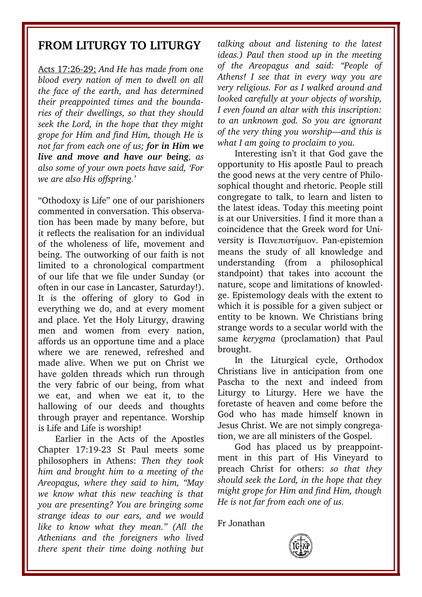## **FROM LITURGY TO LITURGY**

Acts 17:2629; *And He has made from one blood every nation of men to dwell on all the face of the earth, and has determined their preappointed times and the boundaries of their dwellings, so that they should seek the Lord, in the hope that they might grope for Him and find Him, though He is not far from each one of us; for in Him we live and move and have our being, as also some of your own poets have said, 'For we are also His offspring.'* 

"Othodoxy is Life" one of our parishioners commented in conversation. This observation has been made by many before, but it reflects the realisation for an individual of the wholeness of life, movement and being. The outworking of our faith is not limited to a chronological compartment of our life that we file under Sunday (or often in our case in Lancaster, Saturday!). It is the offering of glory to God in everything we do, and at every moment and place. Yet the Holy Liturgy, drawing men and women from every nation, affords us an opportune time and a place where we are renewed, refreshed and made alive. When we put on Christ we have golden threads which run through the very fabric of our being, from what we eat, and when we eat it, to the hallowing of our deeds and thoughts through prayer and repentance. Worship is Life and Life is worship!

Earlier in the Acts of the Apostles Chapter 17:19-23 St Paul meets some philosophers in Athens: *Then they took him and brought him to a meeting of the Areopagus, where they said to him, "May we know what this new teaching is that you are presenting? You are bringing some strange ideas to our ears, and we would like to know what they mean." (All the Athenians and the foreigners who lived there spent their time doing nothing but* *talking about and listening to the latest ideas.) Paul then stood up in the meeting of the Areopagus and said: "People of Athens! I see that in every way you are very religious. For as I walked around and looked carefully at your objects of worship, I even found an altar with this inscription: to an unknown god. So you are ignorant of the very thing you worship—and this is what I am going to proclaim to you.* 

Interesting isn't it that God gave the opportunity to His apostle Paul to preach the good news at the very centre of Philosophical thought and rhetoric. People still congregate to talk, to learn and listen to the latest ideas. Today this meeting point is at our Universities. I find it more than a coincidence that the Greek word for University is Πανεπιστήμιον. Panepistemion means the study of all knowledge and understanding (from a philosophical standpoint) that takes into account the nature, scope and limitations of knowledge. Epistemology deals with the extent to which it is possible for a given subject or entity to be known. We Christians bring strange words to a secular world with the same *kerygma* (proclamation) that Paul brought.

In the Liturgical cycle, Orthodox Christians live in anticipation from one Pascha to the next and indeed from Liturgy to Liturgy. Here we have the foretaste of heaven and come before the God who has made himself known in Jesus Christ. We are not simply congregation, we are all ministers of the Gospel.

God has placed us by preappointment in this part of His Vineyard to preach Christ for others: *so that they should seek the Lord, in the hope that they might grope for Him and find Him, though He is not far from each one of us.*

Fr Jonathan

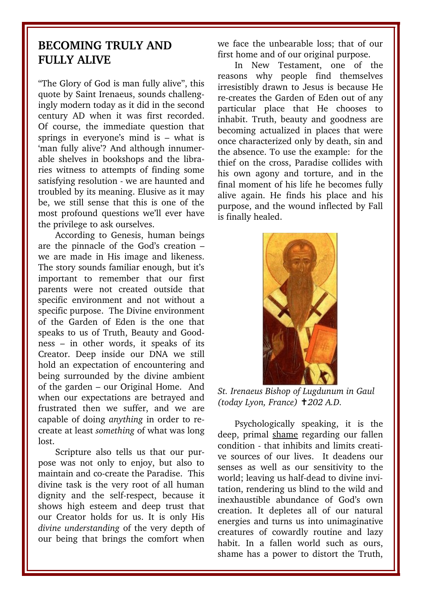## **BECOMING TRULY AND FULLY ALIVE**

"The Glory of God is man fully alive", this quote by Saint Irenaeus, sounds challengingly modern today as it did in the second century AD when it was first recorded. Of course, the immediate question that springs in everyone's mind is – what is 'man fully alive'? And although innumerable shelves in bookshops and the libraries witness to attempts of finding some satisfying resolution - we are haunted and troubled by its meaning. Elusive as it may be, we still sense that this is one of the most profound questions we'll ever have the privilege to ask ourselves.

According to Genesis, human beings are the pinnacle of the God's creation – we are made in His image and likeness. The story sounds familiar enough, but it's important to remember that our first parents were not created outside that specific environment and not without a specific purpose. The Divine environment of the Garden of Eden is the one that speaks to us of Truth, Beauty and Goodness – in other words, it speaks of its Creator. Deep inside our DNA we still hold an expectation of encountering and being surrounded by the divine ambient of the garden – our Original Home. And when our expectations are betrayed and frustrated then we suffer, and we are capable of doing *anything* in order to recreate at least *something* of what was long lost.

Scripture also tells us that our purpose was not only to enjoy, but also to maintain and cocreate the Paradise. This divine task is the very root of all human dignity and the self-respect, because it shows high esteem and deep trust that our Creator holds for us. It is only His *divine understanding* of the very depth of our being that brings the comfort when

we face the unbearable loss; that of our first home and of our original purpose.

In New Testament, one of the reasons why people find themselves irresistibly drawn to Jesus is because He recreates the Garden of Eden out of any particular place that He chooses to inhabit. Truth, beauty and goodness are becoming actualized in places that were once characterized only by death, sin and the absence. To use the example: for the thief on the cross, Paradise collides with his own agony and torture, and in the final moment of his life he becomes fully alive again. He finds his place and his purpose, and the wound inflected by Fall is finally healed.



*St. Irenaeus Bishop of Lugdunum in Gaul (today Lyon, France) 202 A.D.* ✝

Psychologically speaking, it is the deep, primal shame regarding our fallen condition - that inhibits and limits creative sources of our lives. It deadens our senses as well as our sensitivity to the world; leaving us half-dead to divine invitation, rendering us blind to the wild and inexhaustible abundance of God's own creation. It depletes all of our natural energies and turns us into unimaginative creatures of cowardly routine and lazy habit. In a fallen world such as ours, shame has a power to distort the Truth,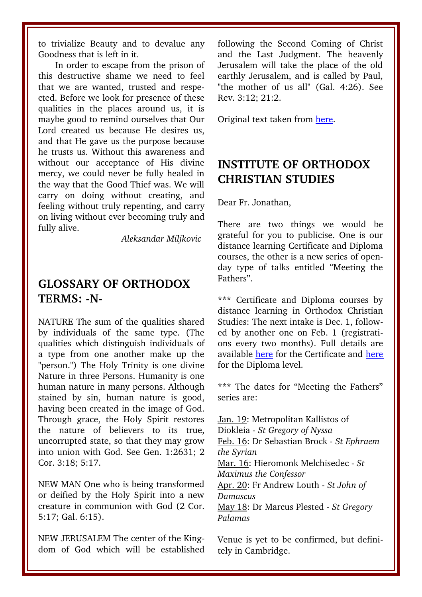to trivialize Beauty and to devalue any Goodness that is left in it.

In order to escape from the prison of this destructive shame we need to feel that we are wanted, trusted and respected. Before we look for presence of these qualities in the places around us, it is maybe good to remind ourselves that Our Lord created us because He desires us, and that He gave us the purpose because he trusts us. Without this awareness and without our acceptance of His divine mercy, we could never be fully healed in the way that the Good Thief was. We will carry on doing without creating, and feeling without truly repenting, and carry on living without ever becoming truly and fully alive.

*Aleksandar Miljkovic* 

## **GLOSSARY OF ORTHODOX** TERMS: -N-

NATURE The sum of the qualities shared by individuals of the same type. (The qualities which distinguish individuals of a type from one another make up the "person.") The Holy Trinity is one divine Nature in three Persons. Humanity is one human nature in many persons. Although stained by sin, human nature is good, having been created in the image of God. Through grace, the Holy Spirit restores the nature of believers to its true, uncorrupted state, so that they may grow into union with God. See Gen. 1:2631; 2 Cor. 3:18; 5:17.

NEW MAN One who is being transformed or deified by the Holy Spirit into a new creature in communion with God (2 Cor. 5:17; Gal. 6:15).

NEW JERUSALEM The center of the Kingdom of God which will be established following the Second Coming of Christ and the Last Judgment. The heavenly Jerusalem will take the place of the old earthly Jerusalem, and is called by Paul, "the mother of us all" (Gal. 4:26). See Rev. 3:12; 21:2.

Original text taken from [here.](http://www.antiochian.org/theology/glossary_of_orthodox_terminology.htm)

# **INSTITUTE OF ORTHODOX CHRISTIAN STUDIES**

Dear Fr. Jonathan,

There are two things we would be grateful for you to publicise. One is our distance learning Certificate and Diploma courses, the other is a new series of openday type of talks entitled "Meeting the Fathers".

**\*\*\*** Certificate and Diploma courses by distance learning in Orthodox Christian Studies: The next intake is Dec. 1, followed by another one on Feb. 1 (registrations every two months). Full details are available [here](http://www.iocs.cam.ac.uk/resources/texts/distance_learning_brochure.pdf) for the Certificate and [here](http://www.iocs.cam.ac.uk/resources/texts/Diploma_Brochure.pdf) for the Diploma level.

**\*\*\*** The dates for "Meeting the Fathers" series are:

Jan. 19: Metropolitan Kallistos of Diokleia *St Gregory of Nyssa* Feb. 16: Dr Sebastian Brock *St Ephraem the Syrian*  Mar. 16: Hieromonk Melchisedec *St Maximus the Confessor*  Apr. 20: Fr Andrew Louth *St John of Damascus*  May 18: Dr Marcus Plested *St Gregory Palamas* 

Venue is yet to be confirmed, but definitely in Cambridge.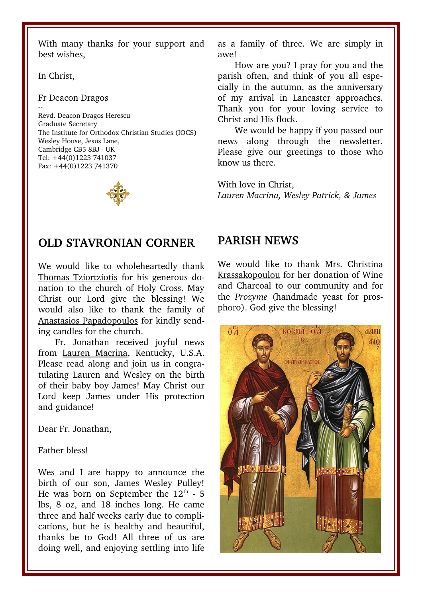With many thanks for your support and best wishes,

In Christ,

#### Fr Deacon Dragos

--Revd. Deacon Dragos Herescu Graduate Secretary The Institute for Orthodox Christian Studies (IOCS) Wesley House, Jesus Lane, Cambridge CB5 8BJ - UK Tel: +44(0)1223 741037 Fax: +44(0)1223 741370

### **OLD STAVRONIAN CORNER**

We would like to wholeheartedly thank Thomas Tziortziotis for his generous donation to the church of Holy Cross. May Christ our Lord give the blessing! We would also like to thank the family of Anastasios Papadopoulos for kindly sending candles for the church.

Fr. Jonathan received joyful news from Lauren Macrina, Kentucky, U.S.A. Please read along and join us in congratulating Lauren and Wesley on the birth of their baby boy James! May Christ our Lord keep James under His protection and guidance!

Dear Fr. Jonathan,

#### Father bless!

Wes and I are happy to announce the birth of our son, James Wesley Pulley! He was born on September the  $12<sup>th</sup>$  - 5 lbs, 8 oz, and 18 inches long. He came three and half weeks early due to complications, but he is healthy and beautiful, thanks be to God! All three of us are doing well, and enjoying settling into life as a family of three. We are simply in awe!

How are you? I pray for you and the parish often, and think of you all especially in the autumn, as the anniversary of my arrival in Lancaster approaches. Thank you for your loving service to Christ and His flock.

We would be happy if you passed our news along through the newsletter. Please give our greetings to those who know us there.

With love in Christ, *Lauren Macrina, Wesley Patrick, & James*

### **PARISH NEWS**

We would like to thank Mrs. Christina Krassakopoulou for her donation of Wine and Charcoal to our community and for the *Prozyme* (handmade yeast for prosphoro). God give the blessing!